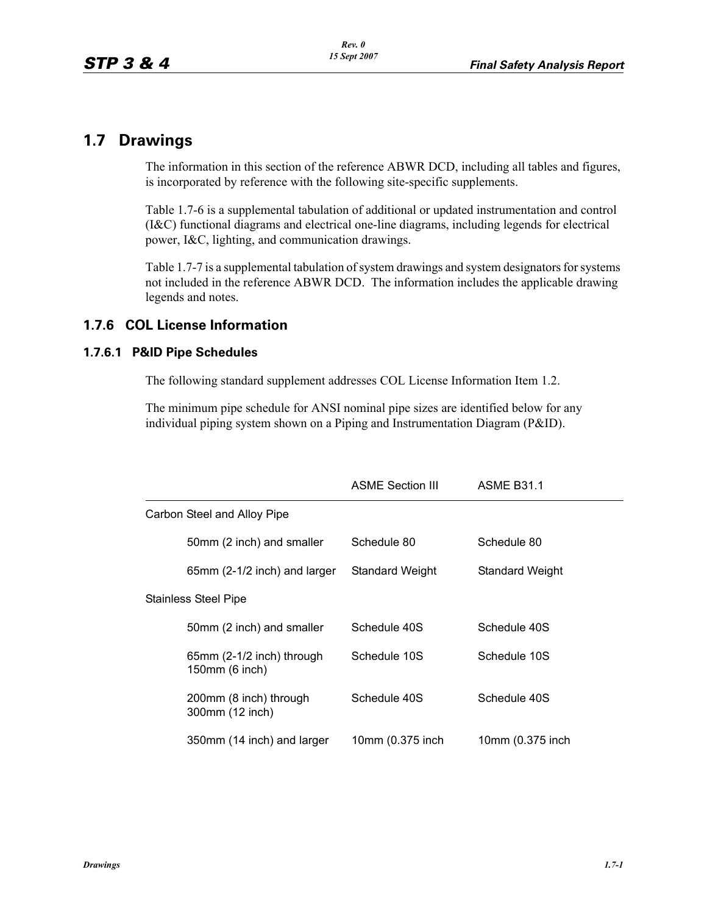## **1.7 Drawings**

The information in this section of the reference ABWR DCD, including all tables and figures, is incorporated by reference with the following site-specific supplements.

Table 1.7-6 is a supplemental tabulation of additional or updated instrumentation and control (I&C) functional diagrams and electrical one-line diagrams, including legends for electrical power, I&C, lighting, and communication drawings.

Table 1.7-7 is a supplemental tabulation of system drawings and system designators for systems not included in the reference ABWR DCD. The information includes the applicable drawing legends and notes.

#### **1.7.6 COL License Information**

#### **1.7.6.1 P&ID Pipe Schedules**

The following standard supplement addresses COL License Information Item 1.2.

The minimum pipe schedule for ANSI nominal pipe sizes are identified below for any individual piping system shown on a Piping and Instrumentation Diagram (P&ID).

|                                             | <b>ASME Section III</b> | <b>ASME B31.1</b> |
|---------------------------------------------|-------------------------|-------------------|
| Carbon Steel and Alloy Pipe                 |                         |                   |
| 50mm (2 inch) and smaller                   | Schedule 80             | Schedule 80       |
| $65$ mm $(2-1/2$ inch) and larger           | Standard Weight         | Standard Weight   |
| Stainless Steel Pipe                        |                         |                   |
| 50mm (2 inch) and smaller                   | Schedule 40S            | Schedule 40S      |
| 65mm (2-1/2 inch) through<br>150mm (6 inch) | Schedule 10S            | Schedule 10S      |
| 200mm (8 inch) through<br>300mm (12 inch)   | Schedule 40S            | Schedule 40S      |
| 350mm (14 inch) and larger                  | 10mm (0.375 inch)       | 10mm (0.375 inch  |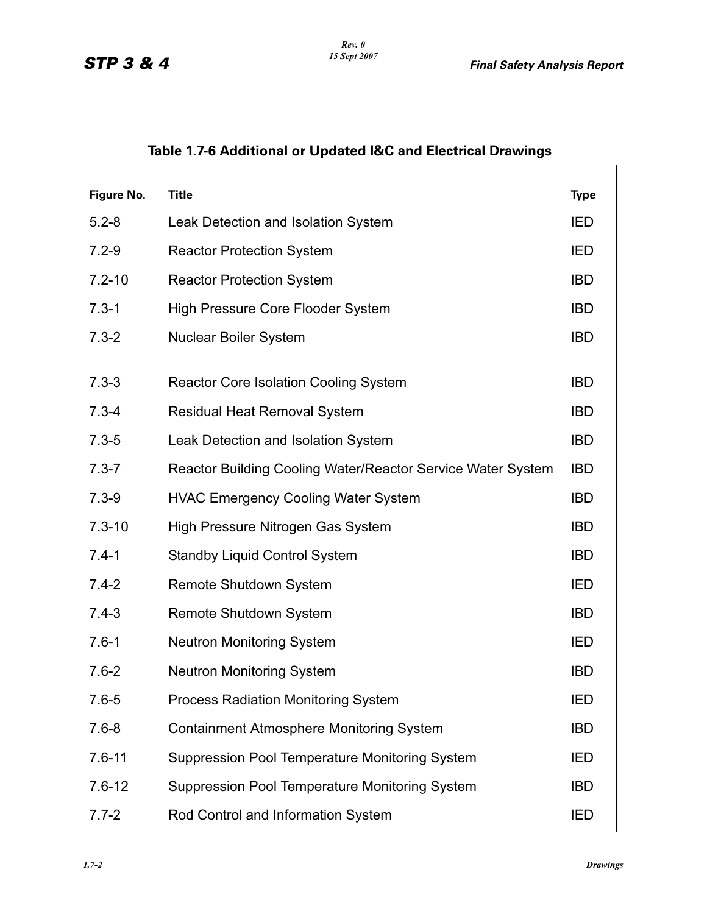| Figure No. | <b>Title</b>                                                | <b>Type</b> |
|------------|-------------------------------------------------------------|-------------|
| $5.2 - 8$  | Leak Detection and Isolation System                         | <b>IED</b>  |
| $7.2 - 9$  | <b>Reactor Protection System</b>                            | <b>IED</b>  |
| $7.2 - 10$ | <b>Reactor Protection System</b>                            | <b>IBD</b>  |
| $7.3 - 1$  | <b>High Pressure Core Flooder System</b>                    | <b>IBD</b>  |
| $7.3 - 2$  | <b>Nuclear Boiler System</b>                                | <b>IBD</b>  |
| $7.3 - 3$  | <b>Reactor Core Isolation Cooling System</b>                | <b>IBD</b>  |
| $7.3 - 4$  | <b>Residual Heat Removal System</b>                         | <b>IBD</b>  |
| $7.3 - 5$  | Leak Detection and Isolation System                         | <b>IBD</b>  |
| $7.3 - 7$  | Reactor Building Cooling Water/Reactor Service Water System | <b>IBD</b>  |
| $7.3 - 9$  | <b>HVAC Emergency Cooling Water System</b>                  | <b>IBD</b>  |
| $7.3 - 10$ | High Pressure Nitrogen Gas System                           | <b>IBD</b>  |
| $7.4 - 1$  | <b>Standby Liquid Control System</b>                        | <b>IBD</b>  |
| $7.4 - 2$  | <b>Remote Shutdown System</b>                               | <b>IED</b>  |
| $7.4 - 3$  | <b>Remote Shutdown System</b>                               | <b>IBD</b>  |
| $7.6 - 1$  | <b>Neutron Monitoring System</b>                            | <b>IED</b>  |
| $7.6 - 2$  | <b>Neutron Monitoring System</b>                            | <b>IBD</b>  |
| $7.6 - 5$  | <b>Process Radiation Monitoring System</b>                  | <b>IED</b>  |
| $7.6 - 8$  | <b>Containment Atmosphere Monitoring System</b>             | <b>IBD</b>  |
| $7.6 - 11$ | <b>Suppression Pool Temperature Monitoring System</b>       | <b>IED</b>  |
| $7.6 - 12$ | <b>Suppression Pool Temperature Monitoring System</b>       | <b>IBD</b>  |
| $7.7 - 2$  | Rod Control and Information System                          | <b>IED</b>  |

### **Table 1.7-6 Additional or Updated I&C and Electrical Drawings**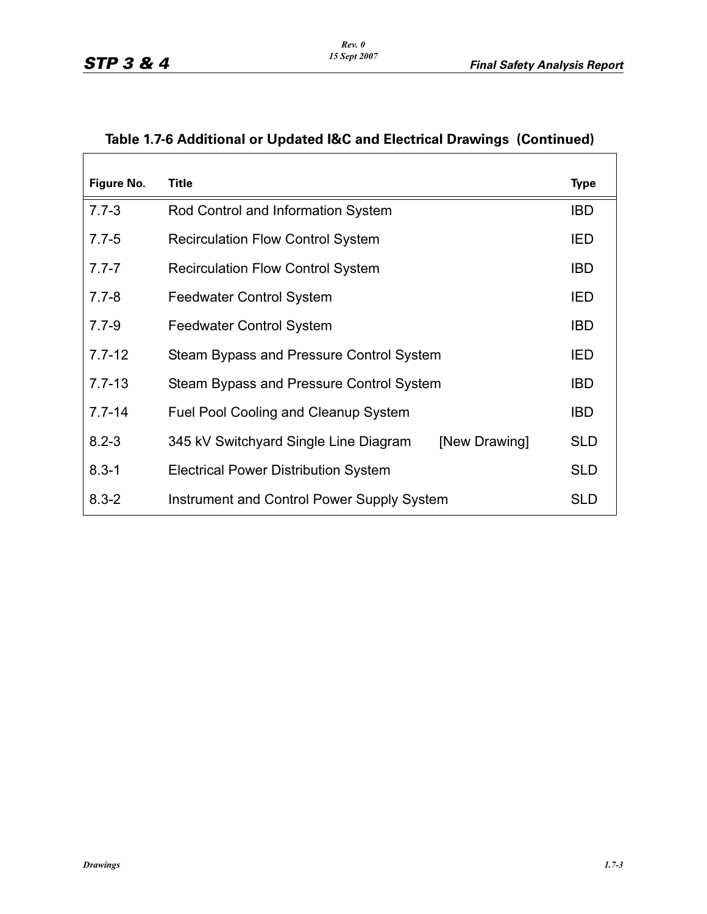| Figure No. | <b>Title</b>                                           | <b>Type</b> |
|------------|--------------------------------------------------------|-------------|
| $7.7 - 3$  | Rod Control and Information System                     | <b>IBD</b>  |
| $7.7 - 5$  | <b>Recirculation Flow Control System</b>               | <b>IED</b>  |
| $7.7 - 7$  | <b>Recirculation Flow Control System</b>               | <b>IBD</b>  |
| $7.7 - 8$  | <b>Feedwater Control System</b>                        | <b>IED</b>  |
| $7.7 - 9$  | <b>Feedwater Control System</b>                        | <b>IBD</b>  |
| $7.7 - 12$ | Steam Bypass and Pressure Control System               | <b>IED</b>  |
| $7.7 - 13$ | Steam Bypass and Pressure Control System               | <b>IBD</b>  |
| $7.7 - 14$ | <b>Fuel Pool Cooling and Cleanup System</b>            | <b>IBD</b>  |
| $8.2 - 3$  | 345 kV Switchyard Single Line Diagram<br>[New Drawing] | <b>SLD</b>  |
| $8.3 - 1$  | <b>Electrical Power Distribution System</b>            | <b>SLD</b>  |
| $8.3 - 2$  | Instrument and Control Power Supply System             | <b>SLD</b>  |

# **Table 1.7-6 Additional or Updated I&C and Electrical Drawings (Continued)**